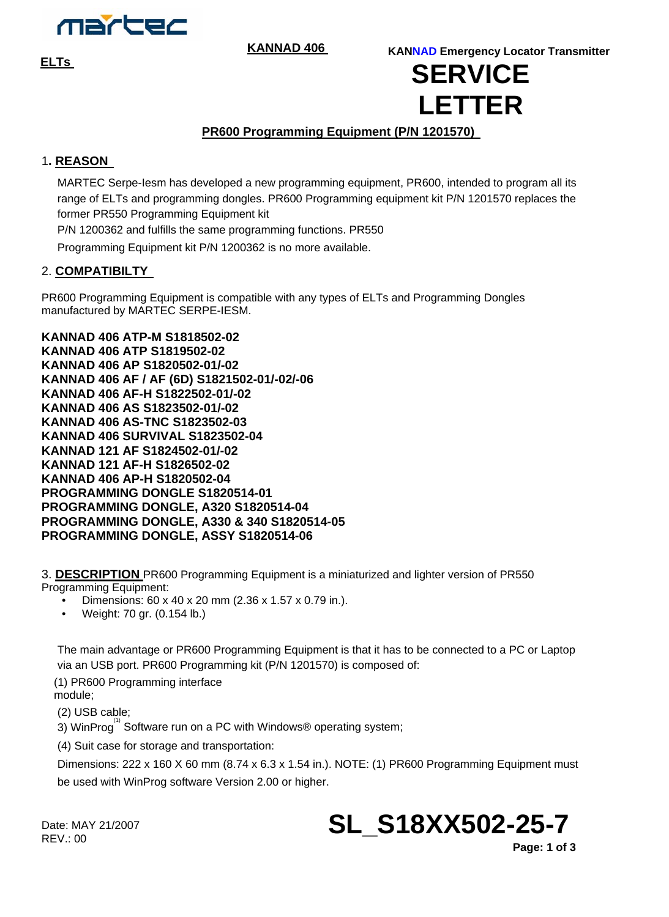

**KANNAD 406** 

## **ELTs KANNAD Emergency Locator Transmitter SERVICE LETTER**

## **PR600 Programming Equipment (P/N 1201570)**

## 1**. REASON**

MARTEC Serpe-Iesm has developed a new programming equipment, PR600, intended to program all its range of ELTs and programming dongles. PR600 Programming equipment kit P/N 1201570 replaces the former PR550 Programming Equipment kit

P/N 1200362 and fulfills the same programming functions. PR550

Programming Equipment kit P/N 1200362 is no more available.

## 2. **COMPATIBILTY**

PR600 Programming Equipment is compatible with any types of ELTs and Programming Dongles manufactured by MARTEC SERPE-IESM.

**KANNAD 406 ATP-M S1818502-02 KANNAD 406 ATP S1819502-02 KANNAD 406 AP S1820502-01/-02 KANNAD 406 AF / AF (6D) S1821502-01/-02/-06 KANNAD 406 AF-H S1822502-01/-02 KANNAD 406 AS S1823502-01/-02 KANNAD 406 AS-TNC S1823502-03 KANNAD 406 SURVIVAL S1823502-04 KANNAD 121 AF S1824502-01/-02 KANNAD 121 AF-H S1826502-02 KANNAD 406 AP-H S1820502-04 PROGRAMMING DONGLE S1820514-01 PROGRAMMING DONGLE, A320 S1820514-04 PROGRAMMING DONGLE, A330 & 340 S1820514-05 PROGRAMMING DONGLE, ASSY S1820514-06** 

3. **DESCRIPTION** PR600 Programming Equipment is a miniaturized and lighter version of PR550 Programming Equipment:

- Dimensions: 60 x 40 x 20 mm (2.36 x 1.57 x 0.79 in.).
- Weight: 70 gr. (0.154 lb.)

The main advantage or PR600 Programming Equipment is that it has to be connected to a PC or Laptop via an USB port. PR600 Programming kit (P/N 1201570) is composed of:

(1) PR600 Programming interface module;

(2) USB cable;

 $\overline{3}$ ) WinProg<sup>(1)</sup> Software run on a PC with Windows® operating system;

(4) Suit case for storage and transportation:

Dimensions: 222 x 160 X 60 mm (8.74 x 6.3 x 1.54 in.). NOTE: (1) PR600 Programming Equipment must be used with WinProg software Version 2.00 or higher.

Date: MAY 21/2007  $RFV: 00$ 

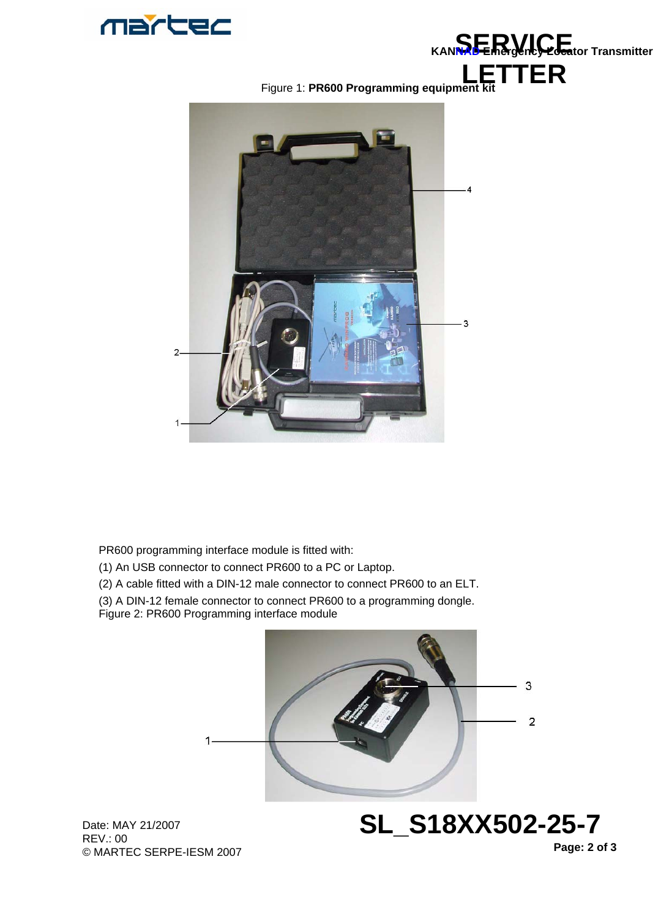



**LETTER**  Figure 1: **PR600 Programming equipment kit**



PR600 programming interface module is fitted with:

- (1) An USB connector to connect PR600 to a PC or Laptop.
- (2) A cable fitted with a DIN-12 male connector to connect PR600 to an ELT.
- (3) A DIN-12 female connector to connect PR600 to a programming dongle.
- Figure 2: PR600 Programming interface module



Date: MAY 21/2007 REV.: 00 © MARTEC SERPE-IESM 2007

**Page: 2 of 3** 

**SL\_S18XX502-25-7**